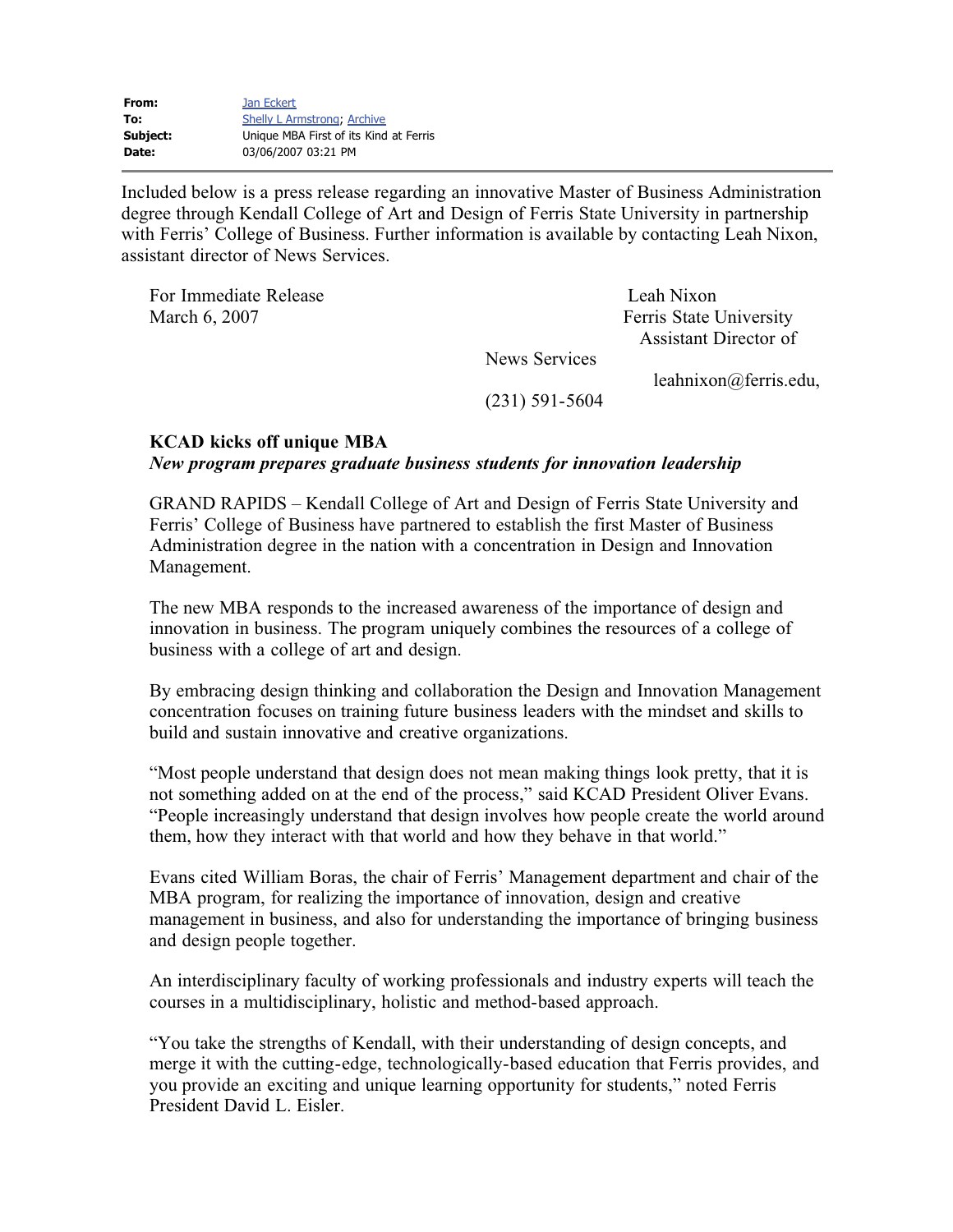| From:    | Jan Eckert                             |
|----------|----------------------------------------|
| To:      | <b>Shelly L Armstrong, Archive</b>     |
| Subject: | Unique MBA First of its Kind at Ferris |
| Date:    | 03/06/2007 03:21 PM                    |
|          |                                        |

Included below is a press release regarding an innovative Master of Business Administration degree through Kendall College of Art and Design of Ferris State University in partnership with Ferris' College of Business. Further information is available by contacting Leah Nixon, assistant director of News Services.

For Immediate Release Leah Nixon March 6, 2007 Ferris State University Assistant Director of News Services leahnixon@ferris.edu, (231) 591-5604

## **KCAD kicks off unique MBA**

*New program prepares graduate business students for innovation leadership*

GRAND RAPIDS – Kendall College of Art and Design of Ferris State University and Ferris' College of Business have partnered to establish the first Master of Business Administration degree in the nation with a concentration in Design and Innovation Management.

The new MBA responds to the increased awareness of the importance of design and innovation in business. The program uniquely combines the resources of a college of business with a college of art and design.

By embracing design thinking and collaboration the Design and Innovation Management concentration focuses on training future business leaders with the mindset and skills to build and sustain innovative and creative organizations.

"Most people understand that design does not mean making things look pretty, that it is not something added on at the end of the process," said KCAD President Oliver Evans. "People increasingly understand that design involves how people create the world around them, how they interact with that world and how they behave in that world."

Evans cited William Boras, the chair of Ferris' Management department and chair of the MBA program, for realizing the importance of innovation, design and creative management in business, and also for understanding the importance of bringing business and design people together.

An interdisciplinary faculty of working professionals and industry experts will teach the courses in a multidisciplinary, holistic and method-based approach.

"You take the strengths of Kendall, with their understanding of design concepts, and merge it with the cutting-edge, technologically-based education that Ferris provides, and you provide an exciting and unique learning opportunity for students," noted Ferris President David L. Eisler.